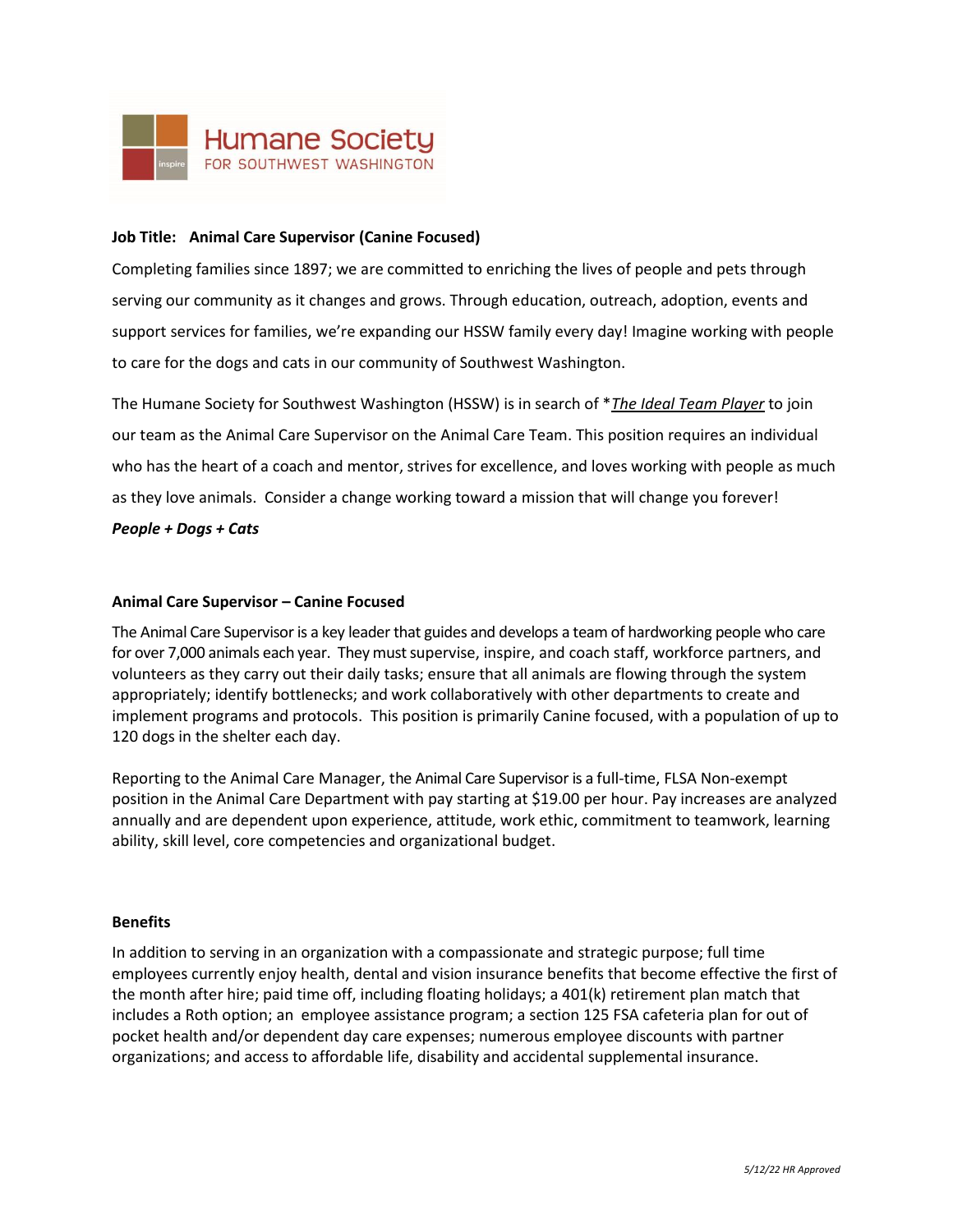

### **Job Title: Animal Care Supervisor (Canine Focused)**

Completing families since 1897; we are committed to enriching the lives of people and pets through serving our community as it changes and grows. Through education, outreach, adoption, events and support services for families, we're expanding our HSSW family every day! Imagine working with people to care for the dogs and cats in our community of Southwest Washington.

The Humane Society for Southwest Washington (HSSW) is in search of \**The Ideal Team Player* to join our team as the Animal Care Supervisor on the Animal Care Team. This position requires an individual who has the heart of a coach and mentor, strives for excellence, and loves working with people as much as they love animals. Consider a change working toward a mission that will change you forever!

*People + Dogs + Cats*

#### **Animal Care Supervisor – Canine Focused**

The Animal Care Supervisor is a key leader that guides and develops a team of hardworking people who care for over 7,000 animals each year. They must supervise, inspire, and coach staff, workforce partners, and volunteers as they carry out their daily tasks; ensure that all animals are flowing through the system appropriately; identify bottlenecks; and work collaboratively with other departments to create and implement programs and protocols. This position is primarily Canine focused, with a population of up to 120 dogs in the shelter each day.

Reporting to the Animal Care Manager, the Animal Care Supervisor is a full-time, FLSA Non-exempt position in the Animal Care Department with pay starting at \$19.00 per hour. Pay increases are analyzed annually and are dependent upon experience, attitude, work ethic, commitment to teamwork, learning ability, skill level, core competencies and organizational budget.

#### **Benefits**

In addition to serving in an organization with a compassionate and strategic purpose; full time employees currently enjoy health, dental and vision insurance benefits that become effective the first of the month after hire; paid time off, including floating holidays; a 401(k) retirement plan match that includes a Roth option; an employee assistance program; a section 125 FSA cafeteria plan for out of pocket health and/or dependent day care expenses; numerous employee discounts with partner organizations; and access to affordable life, disability and accidental supplemental insurance.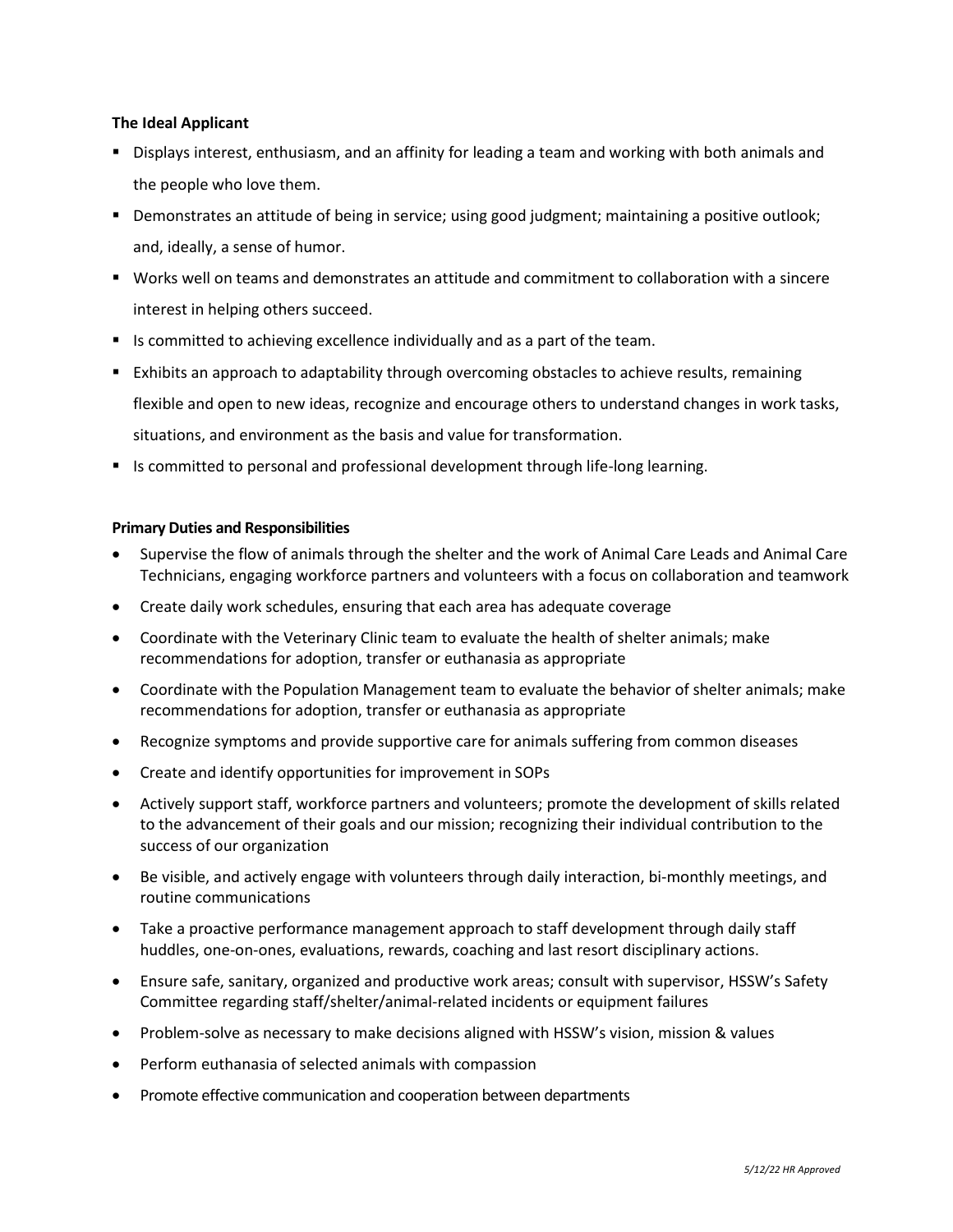## **The Ideal Applicant**

- Displays interest, enthusiasm, and an affinity for leading a team and working with both animals and the people who love them.
- Demonstrates an attitude of being in service; using good judgment; maintaining a positive outlook; and, ideally, a sense of humor.
- Works well on teams and demonstrates an attitude and commitment to collaboration with a sincere interest in helping others succeed.
- Is committed to achieving excellence individually and as a part of the team.
- Exhibits an approach to adaptability through overcoming obstacles to achieve results, remaining flexible and open to new ideas, recognize and encourage others to understand changes in work tasks, situations, and environment as the basis and value for transformation.
- Is committed to personal and professional development through life-long learning.

#### **Primary Duties and Responsibilities**

- Supervise the flow of animals through the shelter and the work of Animal Care Leads and Animal Care Technicians, engaging workforce partners and volunteers with a focus on collaboration and teamwork
- Create daily work schedules, ensuring that each area has adequate coverage
- Coordinate with the Veterinary Clinic team to evaluate the health of shelter animals; make recommendations for adoption, transfer or euthanasia as appropriate
- Coordinate with the Population Management team to evaluate the behavior of shelter animals; make recommendations for adoption, transfer or euthanasia as appropriate
- Recognize symptoms and provide supportive care for animals suffering from common diseases
- Create and identify opportunities for improvement in SOPs
- Actively support staff, workforce partners and volunteers; promote the development of skills related to the advancement of their goals and our mission; recognizing their individual contribution to the success of our organization
- Be visible, and actively engage with volunteers through daily interaction, bi-monthly meetings, and routine communications
- Take a proactive performance management approach to staff development through daily staff huddles, one-on-ones, evaluations, rewards, coaching and last resort disciplinary actions.
- Ensure safe, sanitary, organized and productive work areas; consult with supervisor, HSSW's Safety Committee regarding staff/shelter/animal-related incidents or equipment failures
- Problem-solve as necessary to make decisions aligned with HSSW's vision, mission & values
- Perform euthanasia of selected animals with compassion
- Promote effective communication and cooperation between departments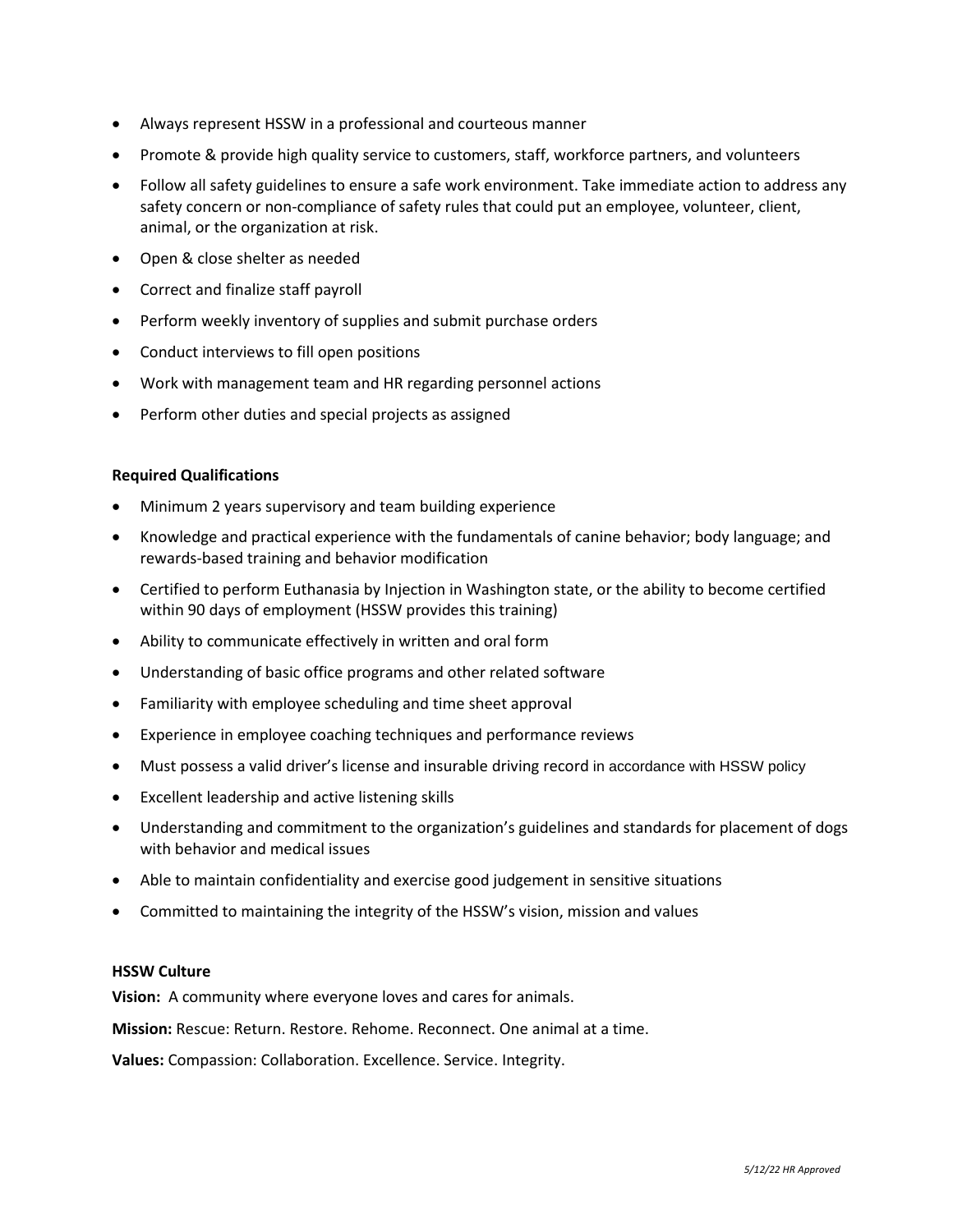- Always represent HSSW in a professional and courteous manner
- Promote & provide high quality service to customers, staff, workforce partners, and volunteers
- Follow all safety guidelines to ensure a safe work environment. Take immediate action to address any safety concern or non-compliance of safety rules that could put an employee, volunteer, client, animal, or the organization at risk.
- Open & close shelter as needed
- Correct and finalize staff payroll
- Perform weekly inventory of supplies and submit purchase orders
- Conduct interviews to fill open positions
- Work with management team and HR regarding personnel actions
- Perform other duties and special projects as assigned

#### **Required Qualifications**

- Minimum 2 years supervisory and team building experience
- Knowledge and practical experience with the fundamentals of canine behavior; body language; and rewards-based training and behavior modification
- Certified to perform Euthanasia by Injection in Washington state, or the ability to become certified within 90 days of employment (HSSW provides this training)
- Ability to communicate effectively in written and oral form
- Understanding of basic office programs and other related software
- Familiarity with employee scheduling and time sheet approval
- Experience in employee coaching techniques and performance reviews
- Must possess a valid driver's license and insurable driving record in accordance with HSSW policy
- Excellent leadership and active listening skills
- Understanding and commitment to the organization's guidelines and standards for placement of dogs with behavior and medical issues
- Able to maintain confidentiality and exercise good judgement in sensitive situations
- Committed to maintaining the integrity of the HSSW's vision, mission and values

#### **HSSW Culture**

**Vision:** A community where everyone loves and cares for animals.

**Mission:** Rescue: Return. Restore. Rehome. Reconnect. One animal at a time.

**Values:** Compassion: Collaboration. Excellence. Service. Integrity.